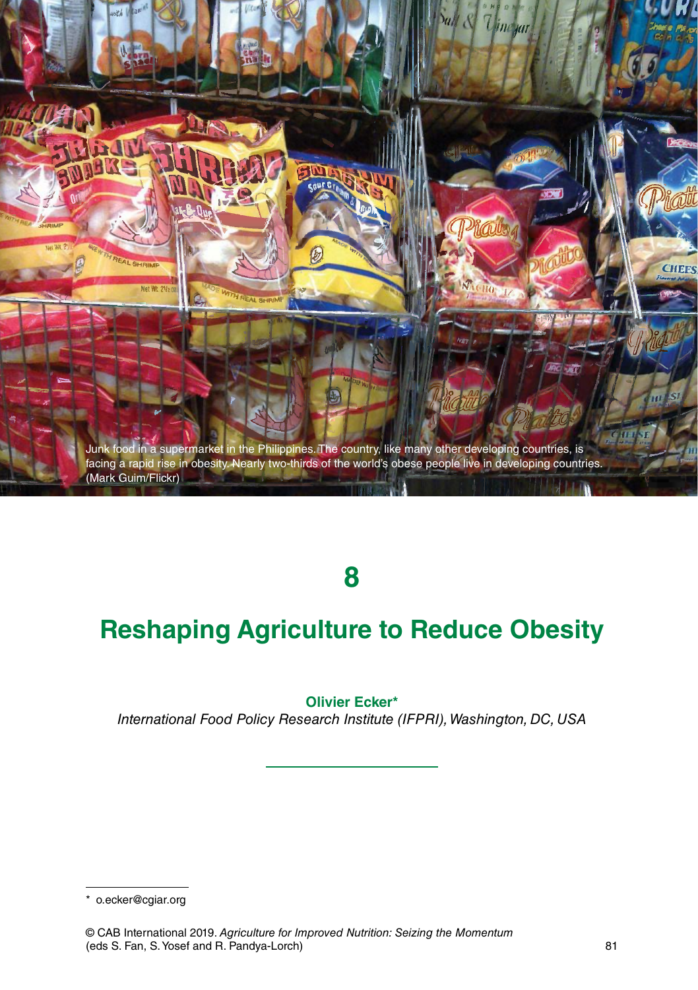

## **8**

# **[Reshaping Agriculture to Reduce Obesity](#page--1-0)**

**Olivier Ecker\***

*International Food Policy Research Institute (IFPRI), Washington, DC, USA*

<sup>\*</sup> o.ecker@cgiar.org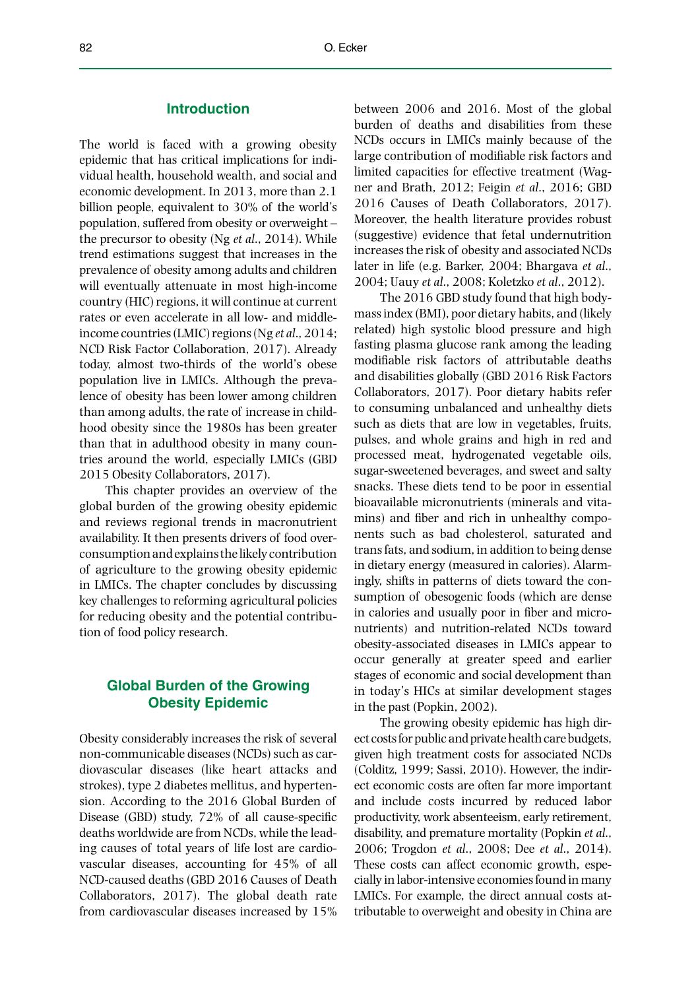#### **Introduction**

The world is faced with a growing obesity epidemic that has critical implications for individual health, household wealth, and social and economic development. In 2013, more than 2.1 billion people, equivalent to 30% of the world's population, suffered from obesity or overweight – the precursor to obesity (Ng *et al*., 2014). While trend estimations suggest that increases in the prevalence of obesity among adults and children will eventually attenuate in most high-income country (HIC) regions, it will continue at current rates or even accelerate in all low- and middleincome countries (LMIC) regions (Ng *et al*., 2014; NCD Risk Factor Collaboration, 2017). Already today, almost two-thirds of the world's obese population live in LMICs. Although the prevalence of obesity has been lower among children than among adults, the rate of increase in childhood obesity since the 1980s has been greater than that in adulthood obesity in many countries around the world, especially LMICs (GBD 2015 Obesity Collaborators, 2017).

This chapter provides an overview of the global burden of the growing obesity epidemic and reviews regional trends in macronutrient availability. It then presents drivers of food overconsumption and explains the likely contribution of agriculture to the growing obesity epidemic in LMICs. The chapter concludes by discussing key challenges to reforming agricultural policies for reducing obesity and the potential contribution of food policy research.

#### **Global Burden of the Growing Obesity Epidemic**

Obesity considerably increases the risk of several non-communicable diseases (NCDs) such as cardiovascular diseases (like heart attacks and strokes), type 2 diabetes mellitus, and hypertension. According to the 2016 Global Burden of Disease (GBD) study, 72% of all cause-specific deaths worldwide are from NCDs, while the leading causes of total years of life lost are cardiovascular diseases, accounting for 45% of all NCD-caused deaths (GBD 2016 Causes of Death Collaborators, 2017). The global death rate from cardiovascular diseases increased by 15% between 2006 and 2016. Most of the global burden of deaths and disabilities from these NCDs occurs in LMICs mainly because of the large contribution of modifiable risk factors and limited capacities for effective treatment (Wagner and Brath, 2012; Feigin *et al*., 2016; GBD 2016 Causes of Death Collaborators, 2017). Moreover, the health literature provides robust (suggestive) evidence that fetal undernutrition increases the risk of obesity and associated NCDs later in life (e.g. Barker, 2004; Bhargava *et al*., 2004; Uauy *et al*., 2008; Koletzko *et al*., 2012).

The 2016 GBD study found that high bodymass index (BMI), poor dietary habits, and (likely related) high systolic blood pressure and high fasting plasma glucose rank among the leading modifiable risk factors of attributable deaths and disabilities globally (GBD 2016 Risk Factors Collaborators, 2017). Poor dietary habits refer to consuming unbalanced and unhealthy diets such as diets that are low in vegetables, fruits, pulses, and whole grains and high in red and processed meat, hydrogenated vegetable oils, sugar-sweetened beverages, and sweet and salty snacks. These diets tend to be poor in essential bioavailable micronutrients (minerals and vitamins) and fiber and rich in unhealthy components such as bad cholesterol, saturated and trans fats, and sodium, in addition to being dense in dietary energy (measured in calories). Alarmingly, shifts in patterns of diets toward the consumption of obesogenic foods (which are dense in calories and usually poor in fiber and micronutrients) and nutrition-related NCDs toward obesity-associated diseases in LMICs appear to occur generally at greater speed and earlier stages of economic and social development than in today's HICs at similar development stages in the past (Popkin, 2002).

The growing obesity epidemic has high direct costs for public and private health care budgets, given high treatment costs for associated NCDs (Colditz, 1999; Sassi, 2010). However, the indirect economic costs are often far more important and include costs incurred by reduced labor productivity, work absenteeism, early retirement, disability, and premature mortality (Popkin *et al*., 2006; Trogdon *et al*., 2008; Dee *et al*., 2014). These costs can affect economic growth, especially in labor-intensive economies found in many LMICs. For example, the direct annual costs attributable to overweight and obesity in China are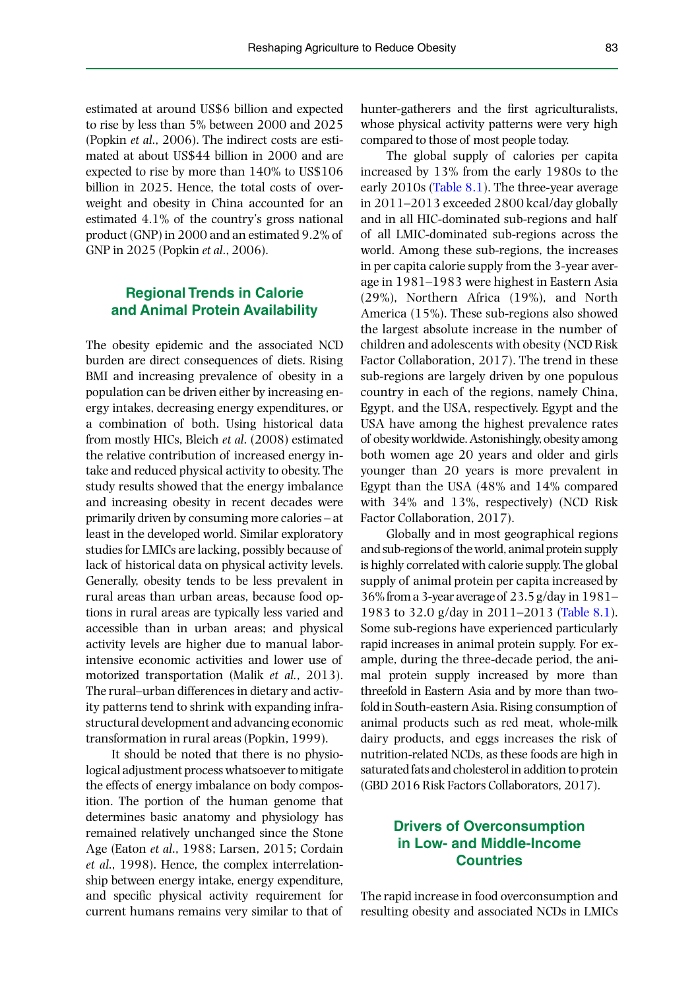estimated at around US\$6 billion and expected to rise by less than 5% between 2000 and 2025 (Popkin *et al*., 2006). The indirect costs are estimated at about US\$44 billion in 2000 and are expected to rise by more than 140% to US\$106 billion in 2025. Hence, the total costs of overweight and obesity in China accounted for an estimated 4.1% of the country's gross national product (GNP) in 2000 and an estimated 9.2% of GNP in 2025 (Popkin *et al*., 2006).

#### **Regional Trends in Calorie and Animal Protein Availability**

The obesity epidemic and the associated NCD burden are direct consequences of diets. Rising BMI and increasing prevalence of obesity in a population can be driven either by increasing energy intakes, decreasing energy expenditures, or a combination of both. Using historical data from mostly HICs, Bleich *et al*. (2008) estimated the relative contribution of increased energy intake and reduced physical activity to obesity. The study results showed that the energy imbalance and increasing obesity in recent decades were primarily driven by consuming more calories – at least in the developed world. Similar exploratory studies for LMICs are lacking, possibly because of lack of historical data on physical activity levels. Generally, obesity tends to be less prevalent in rural areas than urban areas, because food options in rural areas are typically less varied and accessible than in urban areas; and physical activity levels are higher due to manual laborintensive economic activities and lower use of motorized transportation (Malik *et al.*, 2013). The rural–urban differences in dietary and activity patterns tend to shrink with expanding infrastructural development and advancing economic transformation in rural areas (Popkin, 1999).

It should be noted that there is no physiological adjustment process whatsoever to mitigate the effects of energy imbalance on body composition. The portion of the human genome that determines basic anatomy and physiology has remained relatively unchanged since the Stone Age (Eaton *et al*., 1988; Larsen, 2015; Cordain *et al*., 1998). Hence, the complex interrelationship between energy intake, energy expenditure, and specific physical activity requirement for current humans remains very similar to that of hunter-gatherers and the first agriculturalists, whose physical activity patterns were very high compared to those of most people today.

The global supply of calories per capita increased by 13% from the early 1980s to the early 2010s [\(Table 8.1\)](#page-3-0). The three-year average in 2011–2013 exceeded 2800 kcal/day globally and in all HIC-dominated sub-regions and half of all LMIC-dominated sub-regions across the world. Among these sub-regions, the increases in per capita calorie supply from the 3-year average in 1981–1983 were highest in Eastern Asia (29%), Northern Africa (19%), and North America (15%). These sub-regions also showed the largest absolute increase in the number of children and adolescents with obesity (NCD Risk Factor Collaboration, 2017). The trend in these sub-regions are largely driven by one populous country in each of the regions, namely China, Egypt, and the USA, respectively. Egypt and the USA have among the highest prevalence rates of obesity worldwide. Astonishingly, obesity among both women age 20 years and older and girls younger than 20 years is more prevalent in Egypt than the USA (48% and 14% compared with 34% and 13%, respectively) (NCD Risk Factor Collaboration, 2017).

Globally and in most geographical regions and sub-regions of the world, animal protein supply is highly correlated with calorie supply. The global supply of animal protein per capita increased by 36% from a 3-year average of 23.5 g/day in 1981– 1983 to 32.0 g/day in 2011–2013 [\(Table 8.1\)](#page-3-0). Some sub-regions have experienced particularly rapid increases in animal protein supply. For example, during the three-decade period, the animal protein supply increased by more than threefold in Eastern Asia and by more than twofold in South-eastern Asia. Rising consumption of animal products such as red meat, whole-milk dairy products, and eggs increases the risk of nutrition-related NCDs, as these foods are high in saturated fats and cholesterol in addition to protein (GBD 2016 Risk Factors Collaborators, 2017).

#### **Drivers of Overconsumption in Low- and Middle-Income Countries**

The rapid increase in food overconsumption and resulting obesity and associated NCDs in LMICs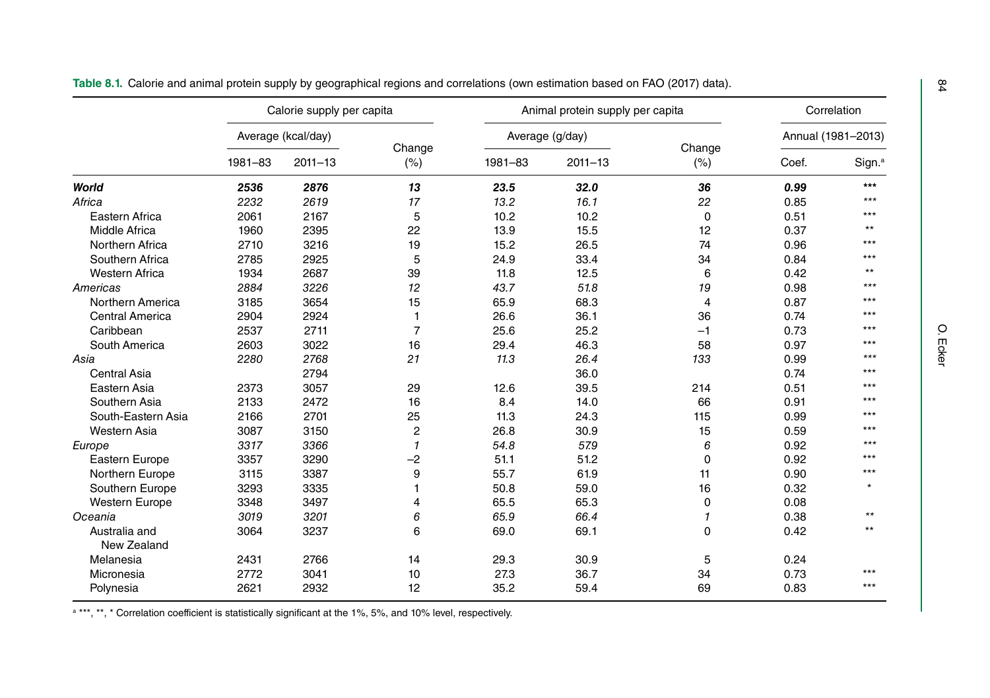<span id="page-3-0"></span>

|                              | Calorie supply per capita |             |                | Animal protein supply per capita |             |              | Correlation        |                    |
|------------------------------|---------------------------|-------------|----------------|----------------------------------|-------------|--------------|--------------------|--------------------|
|                              | Average (kcal/day)        |             | Change<br>(%)  | Average (g/day)                  |             | Change       | Annual (1981-2013) |                    |
|                              | 1981-83                   | $2011 - 13$ |                | 1981-83                          | $2011 - 13$ | (% )         | Coef.              | Sign. <sup>a</sup> |
| World                        | 2536                      | 2876        | 13             | 23.5                             | 32.0        | 36           | 0.99               | $***$              |
| Africa                       | 2232                      | 2619        | 17             | 13.2                             | 16.1        | 22           | 0.85               | ***                |
| Eastern Africa               | 2061                      | 2167        | 5              | 10.2                             | 10.2        | 0            | 0.51               | $***$              |
| <b>Middle Africa</b>         | 1960                      | 2395        | 22             | 13.9                             | 15.5        | 12           | 0.37               | $***$              |
| Northern Africa              | 2710                      | 3216        | 19             | 15.2                             | 26.5        | 74           | 0.96               | $***$              |
| Southern Africa              | 2785                      | 2925        | 5              | 24.9                             | 33.4        | 34           | 0.84               | $***$              |
| <b>Western Africa</b>        | 1934                      | 2687        | 39             | 11.8                             | 12.5        | 6            | 0.42               | $^{\star\star}$    |
| Americas                     | 2884                      | 3226        | 12             | 43.7                             | 51.8        | 19           | 0.98               | ***                |
| Northern America             | 3185                      | 3654        | 15             | 65.9                             | 68.3        | 4            | 0.87               | $***$              |
| <b>Central America</b>       | 2904                      | 2924        | 1              | 26.6                             | 36.1        | 36           | 0.74               | $***$              |
| Caribbean                    | 2537                      | 2711        | $\overline{7}$ | 25.6                             | 25.2        | $-1$         | 0.73               | $***$              |
| South America                | 2603                      | 3022        | 16             | 29.4                             | 46.3        | 58           | 0.97               | $***$              |
| Asia                         | 2280                      | 2768        | 21             | 11.3                             | 26.4        | 133          | 0.99               | ***                |
| <b>Central Asia</b>          |                           | 2794        |                |                                  | 36.0        |              | 0.74               | $***$              |
| Eastern Asia                 | 2373                      | 3057        | 29             | 12.6                             | 39.5        | 214          | 0.51               | $***$              |
| Southern Asia                | 2133                      | 2472        | 16             | 8.4                              | 14.0        | 66           | 0.91               | $***$              |
| South-Eastern Asia           | 2166                      | 2701        | 25             | 11.3                             | 24.3        | 115          | 0.99               | $***$              |
| Western Asia                 | 3087                      | 3150        | 2              | 26.8                             | 30.9        | 15           | 0.59               | $***$              |
| Europe                       | 3317                      | 3366        | $\mathbf{1}$   | 54.8                             | 57.9        | 6            | 0.92               | $***$              |
| Eastern Europe               | 3357                      | 3290        | $-2$           | 51.1                             | 51.2        | 0            | 0.92               | $***$              |
| Northern Europe              | 3115                      | 3387        | 9              | 55.7                             | 61.9        | 11           | 0.90               | $***$              |
| Southern Europe              | 3293                      | 3335        |                | 50.8                             | 59.0        | 16           | 0.32               | $\star$            |
| Western Europe               | 3348                      | 3497        | 4              | 65.5                             | 65.3        | 0            | 0.08               |                    |
| Oceania                      | 3019                      | 3201        | 6              | 65.9                             | 66.4        | $\mathbf{1}$ | 0.38               | $\star\star$       |
| Australia and<br>New Zealand | 3064                      | 3237        | 6              | 69.0                             | 69.1        | 0            | 0.42               | $***$              |
| Melanesia                    | 2431                      | 2766        | 14             | 29.3                             | 30.9        | 5            | 0.24               |                    |
| Micronesia                   | 2772                      | 3041        | 10             | 27.3                             | 36.7        | 34           | 0.73               | $***$              |
| Polynesia                    | 2621                      | 2932        | 12             | 35.2                             | 59.4        | 69           | 0.83               | $***$              |

a \*\*\*, \*\*, \* Correlation coefficient is statistically significant at the 1%, 5%, and 10% level, respectively.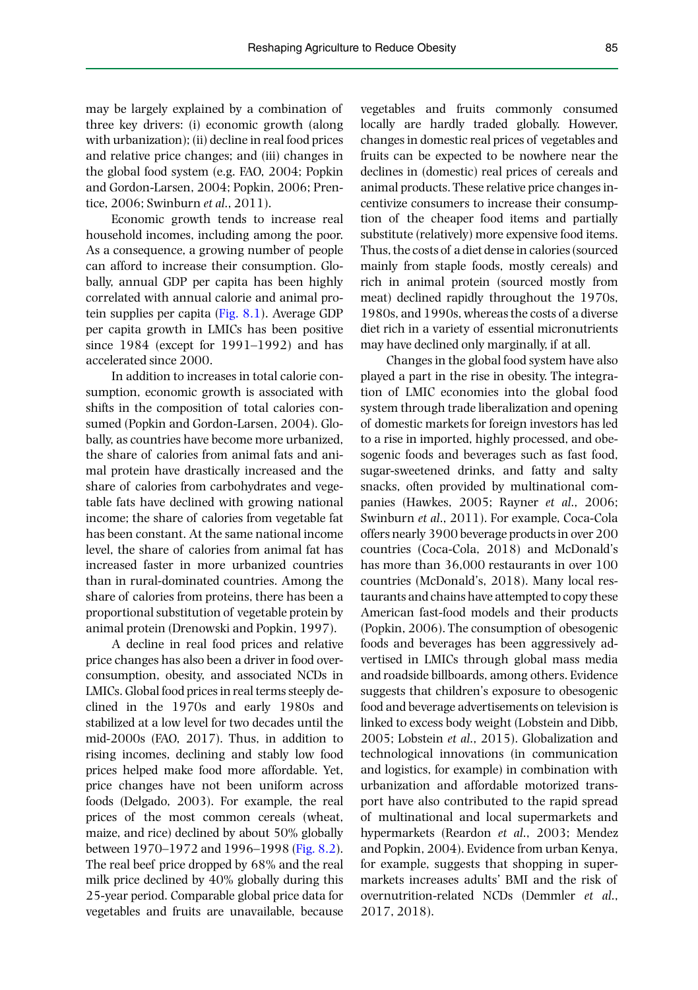may be largely explained by a combination of three key drivers: (i) economic growth (along with urbanization); (ii) decline in real food prices and relative price changes; and (iii) changes in the global food system (e.g. FAO, 2004; Popkin and Gordon-Larsen, 2004; Popkin, 2006; Prentice, 2006; Swinburn *et al*., 2011).

Economic growth tends to increase real household incomes, including among the poor. As a consequence, a growing number of people can afford to increase their consumption. Globally, annual GDP per capita has been highly correlated with annual calorie and animal protein supplies per capita [\(Fig. 8.1](#page-5-0)). Average GDP per capita growth in LMICs has been positive since 1984 (except for 1991–1992) and has accelerated since 2000.

In addition to increases in total calorie consumption, economic growth is associated with shifts in the composition of total calories consumed (Popkin and Gordon-Larsen, 2004). Globally, as countries have become more urbanized, the share of calories from animal fats and animal protein have drastically increased and the share of calories from carbohydrates and vegetable fats have declined with growing national income; the share of calories from vegetable fat has been constant. At the same national income level, the share of calories from animal fat has increased faster in more urbanized countries than in rural-dominated countries. Among the share of calories from proteins, there has been a proportional substitution of vegetable protein by animal protein (Drenowski and Popkin, 1997).

A decline in real food prices and relative price changes has also been a driver in food overconsumption, obesity, and associated NCDs in LMICs. Global food prices in real terms steeply declined in the 1970s and early 1980s and stabilized at a low level for two decades until the mid-2000s (FAO, 2017). Thus, in addition to rising incomes, declining and stably low food prices helped make food more affordable. Yet, price changes have not been uniform across foods (Delgado, 2003). For example, the real prices of the most common cereals (wheat, maize, and rice) declined by about 50% globally between 1970–1972 and 1996–1998 [\(Fig. 8.2\)](#page-5-0). The real beef price dropped by 68% and the real milk price declined by 40% globally during this 25-year period. Comparable global price data for vegetables and fruits are unavailable, because vegetables and fruits commonly consumed locally are hardly traded globally. However, changes in domestic real prices of vegetables and fruits can be expected to be nowhere near the declines in (domestic) real prices of cereals and animal products. These relative price changes incentivize consumers to increase their consumption of the cheaper food items and partially substitute (relatively) more expensive food items. Thus, the costs of a diet dense in calories (sourced mainly from staple foods, mostly cereals) and rich in animal protein (sourced mostly from meat) declined rapidly throughout the 1970s, 1980s, and 1990s, whereas the costs of a diverse diet rich in a variety of essential micronutrients may have declined only marginally, if at all.

Changes in the global food system have also played a part in the rise in obesity. The integration of LMIC economies into the global food system through trade liberalization and opening of domestic markets for foreign investors has led to a rise in imported, highly processed, and obesogenic foods and beverages such as fast food, sugar-sweetened drinks, and fatty and salty snacks, often provided by multinational companies (Hawkes, 2005; Rayner *et al*., 2006; Swinburn *et al*., 2011). For example, Coca-Cola offers nearly 3900 beverage products in over 200 countries (Coca-Cola, 2018) and McDonald's has more than 36,000 restaurants in over 100 countries (McDonald's, 2018). Many local restaurants and chains have attempted to copy these American fast-food models and their products (Popkin, 2006). The consumption of obesogenic foods and beverages has been aggressively advertised in LMICs through global mass media and roadside billboards, among others. Evidence suggests that children's exposure to obesogenic food and beverage advertisements on television is linked to excess body weight (Lobstein and Dibb, 2005; Lobstein *et al*., 2015). Globalization and technological innovations (in communication and logistics, for example) in combination with urbanization and affordable motorized transport have also contributed to the rapid spread of multinational and local supermarkets and hypermarkets (Reardon *et al*., 2003; Mendez and Popkin, 2004). Evidence from urban Kenya, for example, suggests that shopping in supermarkets increases adults' BMI and the risk of overnutrition-related NCDs (Demmler *et al*., 2017, 2018).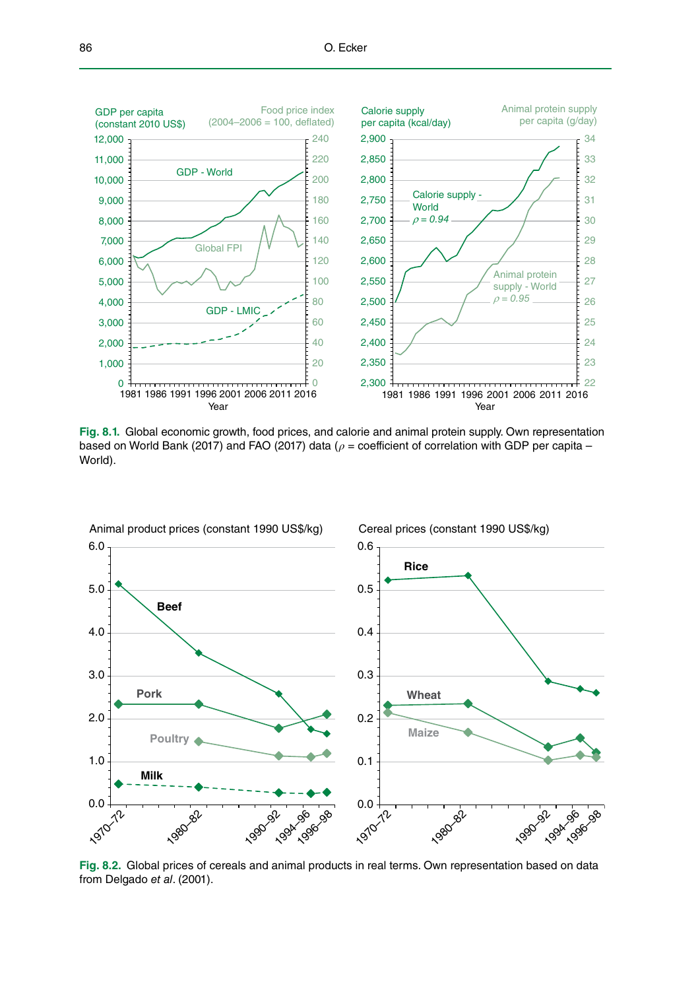<span id="page-5-0"></span>

**Fig. 8.1.** Global economic growth, food prices, and calorie and animal protein supply. Own representation based on World Bank (2017) and FAO (2017) data (*ρ* = coefficient of correlation with GDP per capita – World).



**Fig. 8.2.** Global prices of cereals and animal products in real terms. Own representation based on data from Delgado *et al*. (2001).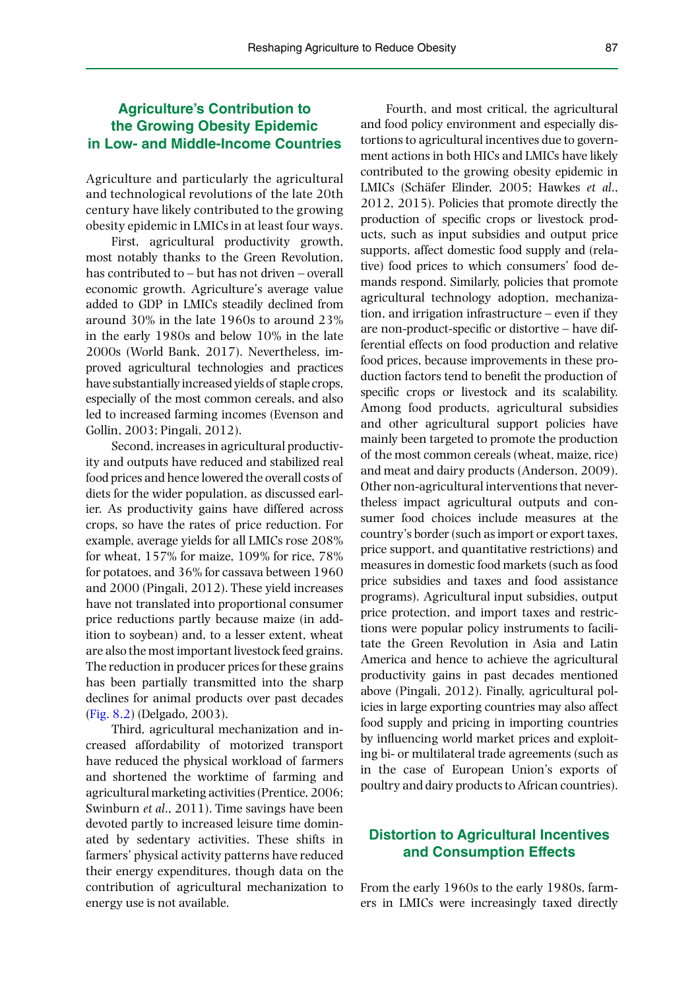### **Agriculture's Contribution to the Growing Obesity Epidemic in Low- and Middle-Income Countries**

Agriculture and particularly the agricultural and technological revolutions of the late 20th century have likely contributed to the growing obesity epidemic in LMICs in at least four ways.

First, agricultural productivity growth, most notably thanks to the Green Revolution, has contributed to – but has not driven – overall economic growth. Agriculture's average value added to GDP in LMICs steadily declined from around 30% in the late 1960s to around 23% in the early 1980s and below 10% in the late 2000s (World Bank, 2017). Nevertheless, improved agricultural technologies and practices have substantially increased yields of staple crops, especially of the most common cereals, and also led to increased farming incomes (Evenson and Gollin, 2003; Pingali, 2012).

Second, increases in agricultural productivity and outputs have reduced and stabilized real food prices and hence lowered the overall costs of diets for the wider population, as discussed earlier. As productivity gains have differed across crops, so have the rates of price reduction. For example, average yields for all LMICs rose 208% for wheat, 157% for maize, 109% for rice, 78% for potatoes, and 36% for cassava between 1960 and 2000 (Pingali, 2012). These yield increases have not translated into proportional consumer price reductions partly because maize (in addition to soybean) and, to a lesser extent, wheat are also the most important livestock feed grains. The reduction in producer prices for these grains has been partially transmitted into the sharp declines for animal products over past decades ([Fig. 8.2](#page-5-0)) (Delgado, 2003).

Third, agricultural mechanization and increased affordability of motorized transport have reduced the physical workload of farmers and shortened the worktime of farming and agricultural marketing activities (Prentice, 2006; Swinburn *et al*., 2011). Time savings have been devoted partly to increased leisure time dominated by sedentary activities. These shifts in farmers' physical activity patterns have reduced their energy expenditures, though data on the contribution of agricultural mechanization to energy use is not available.

Fourth, and most critical, the agricultural and food policy environment and especially distortions to agricultural incentives due to government actions in both HICs and LMICs have likely contributed to the growing obesity epidemic in LMICs (Schäfer Elinder, 2005; Hawkes *et al*., 2012, 2015). Policies that promote directly the production of specific crops or livestock products, such as input subsidies and output price supports, affect domestic food supply and (relative) food prices to which consumers' food demands respond. Similarly, policies that promote agricultural technology adoption, mechanization, and irrigation infrastructure – even if they are non-product-specific or distortive – have differential effects on food production and relative food prices, because improvements in these production factors tend to benefit the production of specific crops or livestock and its scalability. Among food products, agricultural subsidies and other agricultural support policies have mainly been targeted to promote the production of the most common cereals (wheat, maize, rice) and meat and dairy products (Anderson, 2009). Other non-agricultural interventions that nevertheless impact agricultural outputs and consumer food choices include measures at the country's border (such as import or export taxes, price support, and quantitative restrictions) and measures in domestic food markets (such as food price subsidies and taxes and food assistance programs). Agricultural input subsidies, output price protection, and import taxes and restrictions were popular policy instruments to facilitate the Green Revolution in Asia and Latin America and hence to achieve the agricultural productivity gains in past decades mentioned above (Pingali, 2012). Finally, agricultural policies in large exporting countries may also affect food supply and pricing in importing countries by influencing world market prices and exploiting bi- or multilateral trade agreements (such as in the case of European Union's exports of poultry and dairy products to African countries).

#### **Distortion to Agricultural Incentives and Consumption Effects**

From the early 1960s to the early 1980s, farmers in LMICs were increasingly taxed directly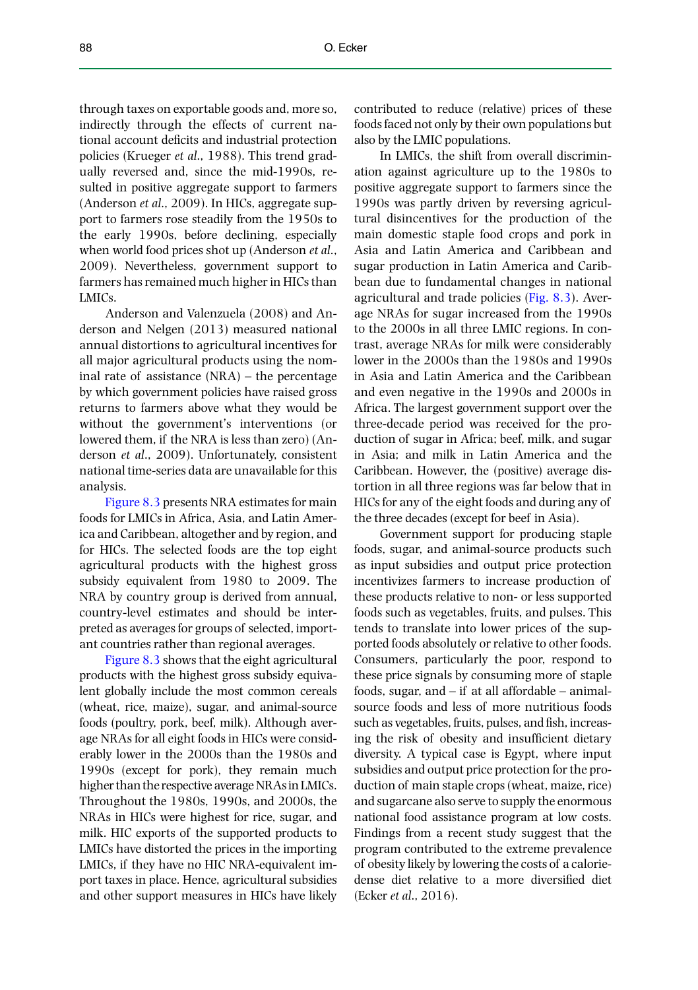through taxes on exportable goods and, more so, indirectly through the effects of current national account deficits and industrial protection policies (Krueger *et al*., 1988). This trend gradually reversed and, since the mid-1990s, resulted in positive aggregate support to farmers (Anderson *et al*., 2009). In HICs, aggregate support to farmers rose steadily from the 1950s to the early 1990s, before declining, especially when world food prices shot up (Anderson *et al*., 2009). Nevertheless, government support to farmers has remained much higher in HICs than LMICs.

Anderson and Valenzuela (2008) and Anderson and Nelgen (2013) measured national annual distortions to agricultural incentives for all major agricultural products using the nominal rate of assistance (NRA) – the percentage by which government policies have raised gross returns to farmers above what they would be without the government's interventions (or lowered them, if the NRA is less than zero) (Anderson *et al*., 2009). Unfortunately, consistent national time-series data are unavailable for this analysis.

[Figure 8.3](#page-8-0) presents NRA estimates for main foods for LMICs in Africa, Asia, and Latin America and Caribbean, altogether and by region, and for HICs. The selected foods are the top eight agricultural products with the highest gross subsidy equivalent from 1980 to 2009. The NRA by country group is derived from annual, country-level estimates and should be interpreted as averages for groups of selected, important countries rather than regional averages.

[Figure 8.3](#page-8-0) shows that the eight agricultural products with the highest gross subsidy equivalent globally include the most common cereals (wheat, rice, maize), sugar, and animal-source foods (poultry, pork, beef, milk). Although average NRAs for all eight foods in HICs were considerably lower in the 2000s than the 1980s and 1990s (except for pork), they remain much higher than the respective average NRAs in LMICs. Throughout the 1980s, 1990s, and 2000s, the NRAs in HICs were highest for rice, sugar, and milk. HIC exports of the supported products to LMICs have distorted the prices in the importing LMICs, if they have no HIC NRA-equivalent import taxes in place. Hence, agricultural subsidies and other support measures in HICs have likely contributed to reduce (relative) prices of these foods faced not only by their own populations but also by the LMIC populations.

In LMICs, the shift from overall discrimination against agriculture up to the 1980s to positive aggregate support to farmers since the 1990s was partly driven by reversing agricultural disincentives for the production of the main domestic staple food crops and pork in Asia and Latin America and Caribbean and sugar production in Latin America and Caribbean due to fundamental changes in national agricultural and trade policies ([Fig. 8.3](#page-8-0)). Average NRAs for sugar increased from the 1990s to the 2000s in all three LMIC regions. In contrast, average NRAs for milk were considerably lower in the 2000s than the 1980s and 1990s in Asia and Latin America and the Caribbean and even negative in the 1990s and 2000s in Africa. The largest government support over the three-decade period was received for the production of sugar in Africa; beef, milk, and sugar in Asia; and milk in Latin America and the Caribbean. However, the (positive) average distortion in all three regions was far below that in HICs for any of the eight foods and during any of the three decades (except for beef in Asia).

Government support for producing staple foods, sugar, and animal-source products such as input subsidies and output price protection incentivizes farmers to increase production of these products relative to non- or less supported foods such as vegetables, fruits, and pulses. This tends to translate into lower prices of the supported foods absolutely or relative to other foods. Consumers, particularly the poor, respond to these price signals by consuming more of staple foods, sugar, and – if at all affordable – animalsource foods and less of more nutritious foods such as vegetables, fruits, pulses, and fish, increasing the risk of obesity and insufficient dietary diversity. A typical case is Egypt, where input subsidies and output price protection for the production of main staple crops (wheat, maize, rice) and sugarcane also serve to supply the enormous national food assistance program at low costs. Findings from a recent study suggest that the program contributed to the extreme prevalence of obesity likely by lowering the costs of a caloriedense diet relative to a more diversified diet (Ecker *et al*., 2016).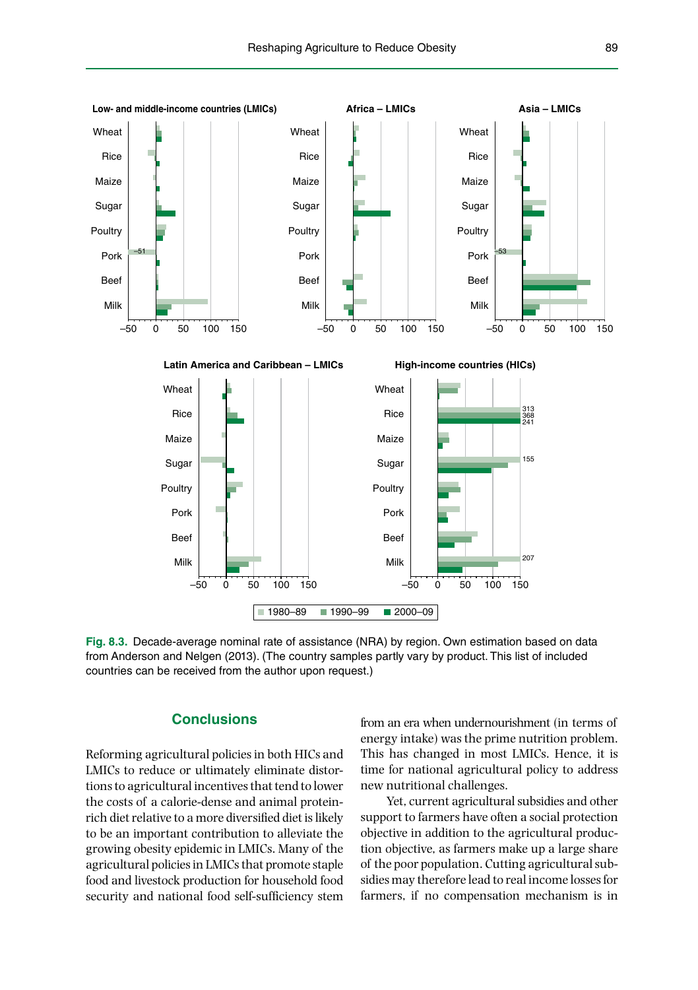<span id="page-8-0"></span>

**Fig. 8.3.** Decade-average nominal rate of assistance (NRA) by region. Own estimation based on data from Anderson and Nelgen (2013). (The country samples partly vary by product. This list of included countries can be received from the author upon request.)

#### **Conclusions**

Reforming agricultural policies in both HICs and LMICs to reduce or ultimately eliminate distortions to agricultural incentives that tend to lower the costs of a calorie-dense and animal proteinrich diet relative to a more diversified diet is likely to be an important contribution to alleviate the growing obesity epidemic in LMICs. Many of the agricultural policies in LMICs that promote staple food and livestock production for household food security and national food self-sufficiency stem from an era when undernourishment (in terms of energy intake) was the prime nutrition problem. This has changed in most LMICs. Hence, it is time for national agricultural policy to address new nutritional challenges.

Yet, current agricultural subsidies and other support to farmers have often a social protection objective in addition to the agricultural production objective, as farmers make up a large share of the poor population. Cutting agricultural subsidies may therefore lead to real income losses for farmers, if no compensation mechanism is in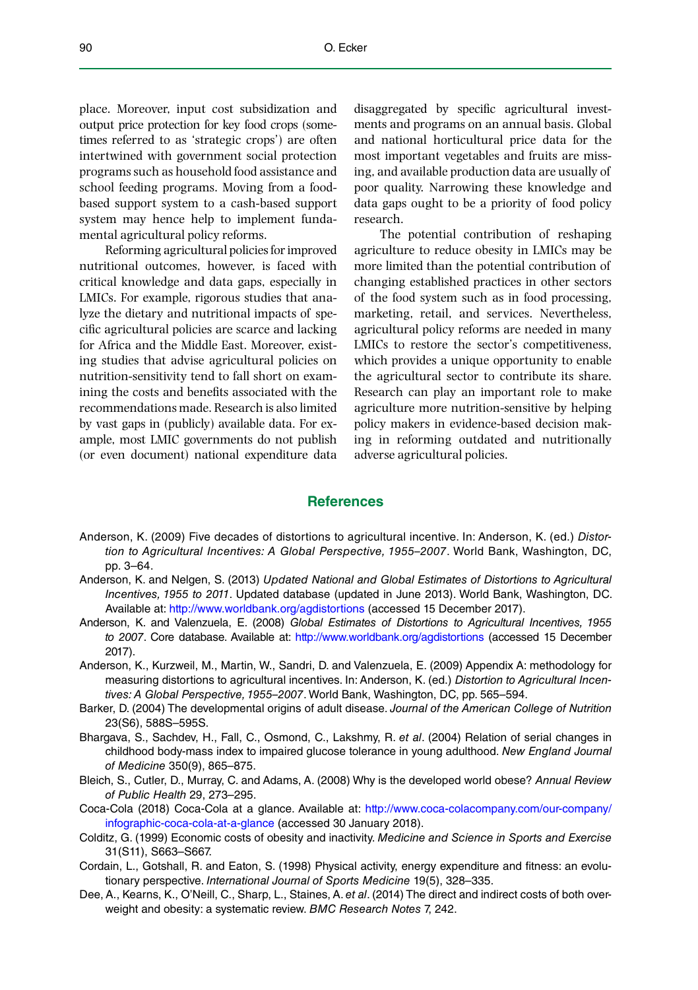place. Moreover, input cost subsidization and output price protection for key food crops (sometimes referred to as 'strategic crops') are often intertwined with government social protection programs such as household food assistance and school feeding programs. Moving from a foodbased support system to a cash-based support system may hence help to implement fundamental agricultural policy reforms.

Reforming agricultural policies for improved nutritional outcomes, however, is faced with critical knowledge and data gaps, especially in LMICs. For example, rigorous studies that analyze the dietary and nutritional impacts of specific agricultural policies are scarce and lacking for Africa and the Middle East. Moreover, existing studies that advise agricultural policies on nutrition-sensitivity tend to fall short on examining the costs and benefits associated with the recommendations made. Research is also limited by vast gaps in (publicly) available data. For example, most LMIC governments do not publish (or even document) national expenditure data disaggregated by specific agricultural investments and programs on an annual basis. Global and national horticultural price data for the most important vegetables and fruits are missing, and available production data are usually of poor quality. Narrowing these knowledge and data gaps ought to be a priority of food policy research.

The potential contribution of reshaping agriculture to reduce obesity in LMICs may be more limited than the potential contribution of changing established practices in other sectors of the food system such as in food processing, marketing, retail, and services. Nevertheless, agricultural policy reforms are needed in many LMICs to restore the sector's competitiveness, which provides a unique opportunity to enable the agricultural sector to contribute its share. Research can play an important role to make agriculture more nutrition-sensitive by helping policy makers in evidence-based decision making in reforming outdated and nutritionally adverse agricultural policies.

#### **References**

- Anderson, K. (2009) Five decades of distortions to agricultural incentive. In: Anderson, K. (ed.) *Distortion to Agricultural Incentives: A Global Perspective, 1955–2007*. World Bank, Washington, DC, pp. 3–64.
- Anderson, K. and Nelgen, S. (2013) *Updated National and Global Estimates of Distortions to Agricultural Incentives, 1955 to 2011*. Updated database (updated in June 2013). World Bank, Washington, DC. Available at:<http://www.worldbank.org/agdistortions>(accessed 15 December 2017).
- Anderson, K. and Valenzuela, E. (2008) *Global Estimates of Distortions to Agricultural Incentives, 1955 to 2007*. Core database. Available at: <http://www.worldbank.org/agdistortions> (accessed 15 December 2017).
- Anderson, K., Kurzweil, M., Martin, W., Sandri, D. and Valenzuela, E. (2009) Appendix A: methodology for measuring distortions to agricultural incentives. In: Anderson, K. (ed.) *Distortion to Agricultural Incentives: A Global Perspective, 1955–2007*. World Bank, Washington, DC, pp. 565–594.
- Barker, D. (2004) The developmental origins of adult disease. *Journal of the American College of Nutrition* 23(S6), 588S–595S.
- Bhargava, S., Sachdev, H., Fall, C., Osmond, C., Lakshmy, R. *et al*. (2004) Relation of serial changes in childhood body-mass index to impaired glucose tolerance in young adulthood. *New England Journal of Medicine* 350(9), 865–875.
- Bleich, S., Cutler, D., Murray, C. and Adams, A. (2008) Why is the developed world obese? *Annual Review of Public Health* 29, 273–295.
- Coca-Cola (2018) Coca-Cola at a glance. Available at: [http://www.coca-colacompany.com/our-company/](http://www.coca-colacompany.com/our-company/infographic-coca-cola-at-a-glance) [infographic-coca-cola-at-a-glance](http://www.coca-colacompany.com/our-company/infographic-coca-cola-at-a-glance) (accessed 30 January 2018).
- Colditz, G. (1999) Economic costs of obesity and inactivity. *Medicine and Science in Sports and Exercise* 31(S11), S663–S667.
- Cordain, L., Gotshall, R. and Eaton, S. (1998) Physical activity, energy expenditure and fitness: an evolutionary perspective. *International Journal of Sports Medicine* 19(5), 328–335.
- Dee, A., Kearns, K., O'Neill, C., Sharp, L., Staines, A. *et al*. (2014) The direct and indirect costs of both overweight and obesity: a systematic review. *BMC Research Notes* 7, 242.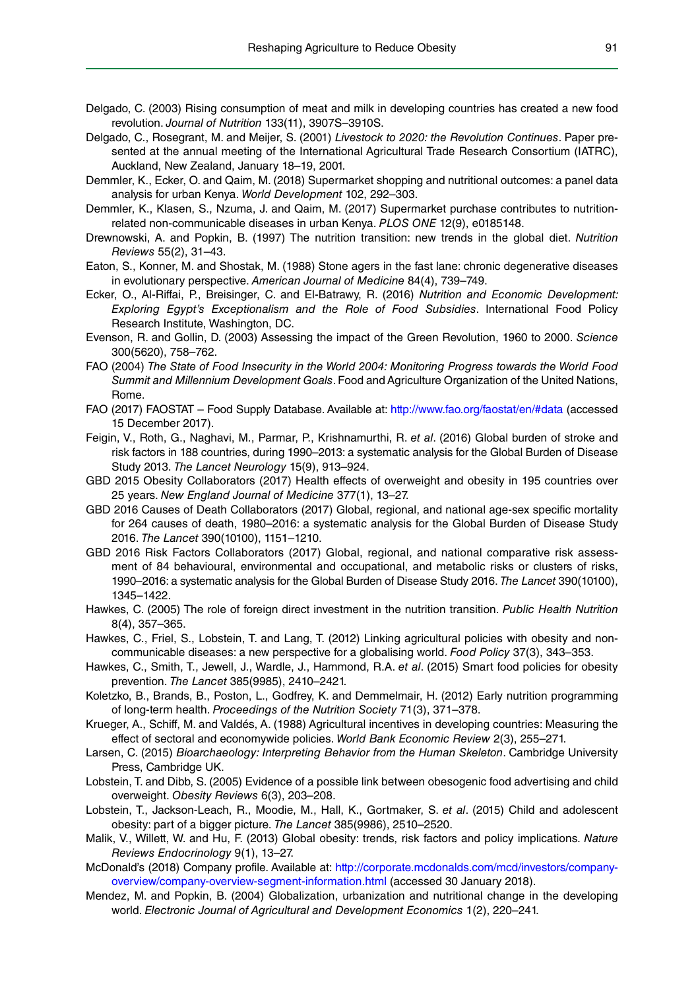- Delgado, C. (2003) Rising consumption of meat and milk in developing countries has created a new food revolution. *Journal of Nutrition* 133(11), 3907S–3910S.
- Delgado, C., Rosegrant, M. and Meijer, S. (2001) *Livestock to 2020: the Revolution Continues*. Paper presented at the annual meeting of the International Agricultural Trade Research Consortium (IATRC), Auckland, New Zealand, January 18–19, 2001.
- Demmler, K., Ecker, O. and Qaim, M. (2018) Supermarket shopping and nutritional outcomes: a panel data analysis for urban Kenya. *World Development* 102, 292–303.
- Demmler, K., Klasen, S., Nzuma, J. and Qaim, M. (2017) Supermarket purchase contributes to nutritionrelated non-communicable diseases in urban Kenya. *PLOS ONE* 12(9), e0185148.
- Drewnowski, A. and Popkin, B. (1997) The nutrition transition: new trends in the global diet. *Nutrition Reviews* 55(2), 31–43.
- Eaton, S., Konner, M. and Shostak, M. (1988) Stone agers in the fast lane: chronic degenerative diseases in evolutionary perspective. *American Journal of Medicine* 84(4), 739–749.
- Ecker, O., Al-Riffai, P., Breisinger, C. and El-Batrawy, R. (2016) *Nutrition and Economic Development: Exploring Egypt's Exceptionalism and the Role of Food Subsidies*. International Food Policy Research Institute, Washington, DC.
- Evenson, R. and Gollin, D. (2003) Assessing the impact of the Green Revolution, 1960 to 2000. *Science* 300(5620), 758–762.
- FAO (2004) *The State of Food Insecurity in the World 2004: Monitoring Progress towards the World Food Summit and Millennium Development Goals*. Food and Agriculture Organization of the United Nations, Rome.
- FAO (2017) FAOSTAT Food Supply Database. Available at: <http://www.fao.org/faostat/en/#data>(accessed 15 December 2017).
- Feigin, V., Roth, G., Naghavi, M., Parmar, P., Krishnamurthi, R. *et al*. (2016) Global burden of stroke and risk factors in 188 countries, during 1990–2013: a systematic analysis for the Global Burden of Disease Study 2013. *The Lancet Neurology* 15(9), 913–924.
- GBD 2015 Obesity Collaborators (2017) Health effects of overweight and obesity in 195 countries over 25 years. *New England Journal of Medicine* 377(1), 13–27.
- GBD 2016 Causes of Death Collaborators (2017) Global, regional, and national age-sex specific mortality for 264 causes of death, 1980–2016: a systematic analysis for the Global Burden of Disease Study 2016. *The Lancet* 390(10100), 1151–1210.
- GBD 2016 Risk Factors Collaborators (2017) Global, regional, and national comparative risk assessment of 84 behavioural, environmental and occupational, and metabolic risks or clusters of risks, 1990–2016: a systematic analysis for the Global Burden of Disease Study 2016. *The Lancet* 390(10100), 1345–1422.
- Hawkes, C. (2005) The role of foreign direct investment in the nutrition transition. *Public Health Nutrition* 8(4), 357–365.
- Hawkes, C., Friel, S., Lobstein, T. and Lang, T. (2012) Linking agricultural policies with obesity and noncommunicable diseases: a new perspective for a globalising world. *Food Policy* 37(3), 343–353.
- Hawkes, C., Smith, T., Jewell, J., Wardle, J., Hammond, R.A. *et al*. (2015) Smart food policies for obesity prevention. *The Lancet* 385(9985), 2410–2421.
- Koletzko, B., Brands, B., Poston, L., Godfrey, K. and Demmelmair, H. (2012) Early nutrition programming of long-term health. *Proceedings of the Nutrition Society* 71(3), 371–378.
- Krueger, A., Schiff, M. and Valdés, A. (1988) Agricultural incentives in developing countries: Measuring the effect of sectoral and economywide policies. *World Bank Economic Review* 2(3), 255–271.
- Larsen, C. (2015) *Bioarchaeology: Interpreting Behavior from the Human Skeleton*. Cambridge University Press, Cambridge UK.
- Lobstein, T. and Dibb, S. (2005) Evidence of a possible link between obesogenic food advertising and child overweight. *Obesity Reviews* 6(3), 203–208.
- Lobstein, T., Jackson-Leach, R., Moodie, M., Hall, K., Gortmaker, S. *et al*. (2015) Child and adolescent obesity: part of a bigger picture. *The Lancet* 385(9986), 2510–2520.
- Malik, V., Willett, W. and Hu, F. (2013) Global obesity: trends, risk factors and policy implications. *Nature Reviews Endocrinology* 9(1), 13–27.
- McDonald's (2018) Company profile. Available at: [http://corporate.mcdonalds.com/mcd/investors/company](http://corporate.mcdonalds.com/mcd/investors/company-overview/company-overview-segment-information.html)[overview/company-overview-segment-information.html](http://corporate.mcdonalds.com/mcd/investors/company-overview/company-overview-segment-information.html) (accessed 30 January 2018).
- Mendez, M. and Popkin, B. (2004) Globalization, urbanization and nutritional change in the developing world. *Electronic Journal of Agricultural and Development Economics* 1(2), 220–241.